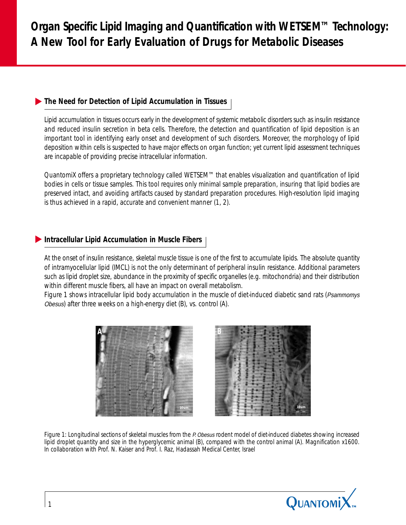# *The Need for Detection of Lipid Accumulation in Tissues*

*Lipid accumulation in tissues occurs early in the development of systemic metabolic disorders such as insulin resistance and reduced insulin secretion in beta cells. Therefore, the detection and quantification of lipid deposition is an important tool in identifying early onset and development of such disorders. Moreover, the morphology of lipid deposition within cells is suspected to have major effects on organ function; yet current lipid assessment techniques are incapable of providing precise intracellular information.*

*QuantomiX offers a proprietary technology called WETSEM™ that enables visualization and quantification of lipid bodies in cells or tissue samples. This tool requires only minimal sample preparation, insuring that lipid bodies are preserved intact, and avoiding artifacts caused by standard preparation procedures. High-resolution lipid imaging is thus achieved in a rapid, accurate and convenient manner (1, 2).*

## *Intracellular Lipid Accumulation in Muscle Fibers*

*At the onset of insulin resistance, skeletal muscle tissue is one of the first to accumulate lipids. The absolute quantity of intramyocellular lipid (IMCL) is not the only determinant of peripheral insulin resistance. Additional parameters such as lipid droplet size, abundance in the proximity of specific organelles (e.g. mitochondria) and their distribution within different muscle fibers, all have an impact on overall metabolism.*

Figure 1 shows intracellular lipid body accumulation in the muscle of diet-induced diabetic sand rats (Psammomys Obesus*) after three weeks on a high-energy diet (B), vs. control (A).*





*Figure 1: Longitudinal sections of skeletal muscles from the P. Obesus rodent model of diet-induced diabetes showing increased lipid droplet quantity and size in the hyperglycemic animal (B), compared with the control animal (A). Magnification x1600. In collaboration with Prof. N. Kaiser and Prof. I. Raz, Hadassah Medical Center, Israel*

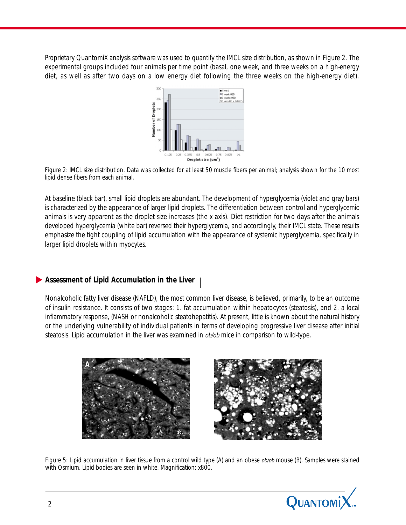*Proprietary QuantomiX analysis software was used to quantify the IMCL size distribution, as shown in Figure 2. The experimental groups included four animals per time point (basal, one week, and three weeks on a high-energy diet, as well as after two days on a low energy diet following the three weeks on the high-energy diet).*



*Figure 2: IMCL size distribution. Data was collected for at least 50 muscle fibers per animal; analysis shown for the 10 most lipid dense fibers from each animal.*

*At baseline (black bar), small lipid droplets are abundant. The development of hyperglycemia (violet and gray bars) is characterized by the appearance of larger lipid droplets. The differentiation between control and hyperglycemic animals is very apparent as the droplet size increases (the x axis). Diet restriction for two days after the animals developed hyperglycemia (white bar) reversed their hyperglycemia, and accordingly, their IMCL state. These results emphasize the tight coupling of lipid accumulation with the appearance of systemic hyperglycemia, specifically in larger lipid droplets within myocytes.*

#### *Assessment of Lipid Accumulation in the Liver*

*Nonalcoholic fatty liver disease (NAFLD), the most common liver disease, is believed, primarily, to be an outcome of insulin resistance. It consists of two stages: 1. fat accumulation within hepatocytes (steatosis), and 2. a local inflammatory response, (NASH or nonalcoholic steatohepatitis). At present, little is known about the natural history or the underlying vulnerability of individual patients in terms of developing progressive liver disease after initial steatosis. Lipid accumulation in the liver was examined in* ob/ob *mice in comparison to wild-type.*



*Figure 5: Lipid accumulation in liver tissue from a control wild type (A) and an obese ob/ob mouse (B). Samples were stained with Osmium. Lipid bodies are seen in white. Magnification: x800.*

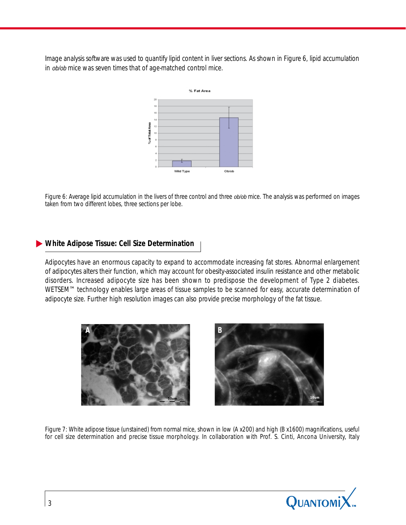*Image analysis software was used to quantify lipid content in liver sections. As shown in Figure 6, lipid accumulation in* ob/ob *mice was seven times that of age-matched control mice.*



*Figure 6: Average lipid accumulation in the livers of three control and three ob/ob mice. The analysis was performed on images taken from two different lobes, three sections per lobe.*

#### *White Adipose Tissue: Cell Size Determination*

*Adipocytes have an enormous capacity to expand to accommodate increasing fat stores. Abnormal enlargement of adipocytes alters their function, which may account for obesity-associated insulin resistance and other metabolic disorders. Increased adipocyte size has been shown to predispose the development of Type 2 diabetes. WETSEM™ technology enables large areas of tissue samples to be scanned for easy, accurate determination of adipocyte size. Further high resolution images can also provide precise morphology of the fat tissue.*





*Figure 7: White adipose tissue (unstained) from normal mice, shown in low (A x200) and high (B x1600) magnifications, useful for cell size determination and precise tissue morphology. In collaboration with Prof. S. Cinti, Ancona University, Italy*

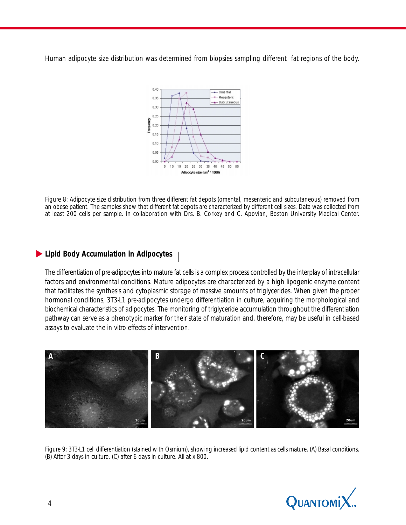*Human adipocyte size distribution was determined from biopsies sampling different fat regions of the body.*



*Figure 8: Adipocyte size distribution from three different fat depots (omental, mesenteric and subcutaneous) removed from an obese patient. The samples show that different fat depots are characterized by different cell sizes. Data was collected from at least 200 cells per sample. In collaboration with Drs. B. Corkey and C. Apovian, Boston University Medical Center.*

### *Lipid Body Accumulation in Adipocytes*

*The differentiation of pre-adipocytes into mature fat cells is a complex process controlled by the interplay of intracellular factors and environmental conditions. Mature adipocytes are characterized by a high lipogenic enzyme content that facilitates the synthesis and cytoplasmic storage of massive amounts of triglycerides. When given the proper hormonal conditions, 3T3-L1 pre-adipocytes undergo differentiation in culture, acquiring the morphological and biochemical characteristics of adipocytes. The monitoring of triglyceride accumulation throughout the differentiation pathway can serve as a phenotypic marker for their state of maturation and, therefore, may be useful in cell-based assays to evaluate the in vitro effects of intervention.*



*Figure 9: 3T3-L1 cell differentiation (stained with Osmium), showing increased lipid content as cells mature. (A) Basal conditions. (B) After 3 days in culture. (C) after 6 days in culture. All at x 800.*